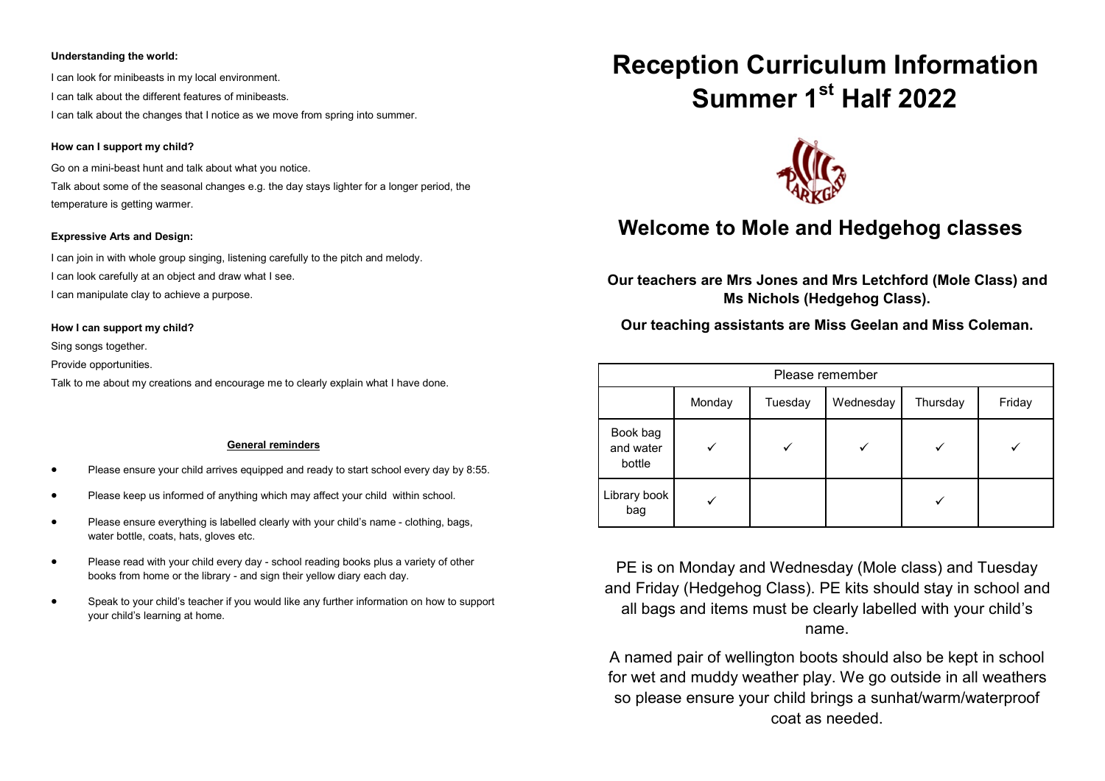#### **Understanding the world:**

I can look for minibeasts in my local environment. I can talk about the different features of minibeasts. I can talk about the changes that I notice as we move from spring into summer.

#### **How can I support my child?**

Go on a mini-beast hunt and talk about what you notice.

Talk about some of the seasonal changes e.g. the day stays lighter for a longer period, the temperature is getting warmer.

#### **Expressive Arts and Design:**

I can join in with whole group singing, listening carefully to the pitch and melody. I can look carefully at an object and draw what I see.

I can manipulate clay to achieve a purpose.

**How I can support my child?**

Sing songs together.

Provide opportunities.

Talk to me about my creations and encourage me to clearly explain what I have done.

#### **General reminders**

- Please ensure your child arrives equipped and ready to start school every day by 8:55.
- Please keep us informed of anything which may affect your child within school.
- Please ensure everything is labelled clearly with your child's name clothing, bags, water bottle, coats, hats, gloves etc.
- Please read with your child every day school reading books plus a variety of other books from home or the library - and sign their yellow diary each day.
- Speak to your child's teacher if you would like any further information on how to support your child's learning at home.

# **Reception Curriculum Information Summer 1st Half 2022**



## **Welcome to Mole and Hedgehog classes**

**Our teachers are Mrs Jones and Mrs Letchford (Mole Class) and Ms Nichols (Hedgehog Class).**

**Our teaching assistants are Miss Geelan and Miss Coleman.**

| Please remember                 |        |         |           |          |        |
|---------------------------------|--------|---------|-----------|----------|--------|
|                                 | Monday | Tuesday | Wednesday | Thursday | Friday |
| Book bag<br>and water<br>bottle |        |         |           |          |        |
| Library book<br>bag             |        |         |           |          |        |

PE is on Monday and Wednesday (Mole class) and Tuesday and Friday (Hedgehog Class). PE kits should stay in school and all bags and items must be clearly labelled with your child's name.

A named pair of wellington boots should also be kept in school for wet and muddy weather play. We go outside in all weathers so please ensure your child brings a sunhat/warm/waterproof coat as needed.